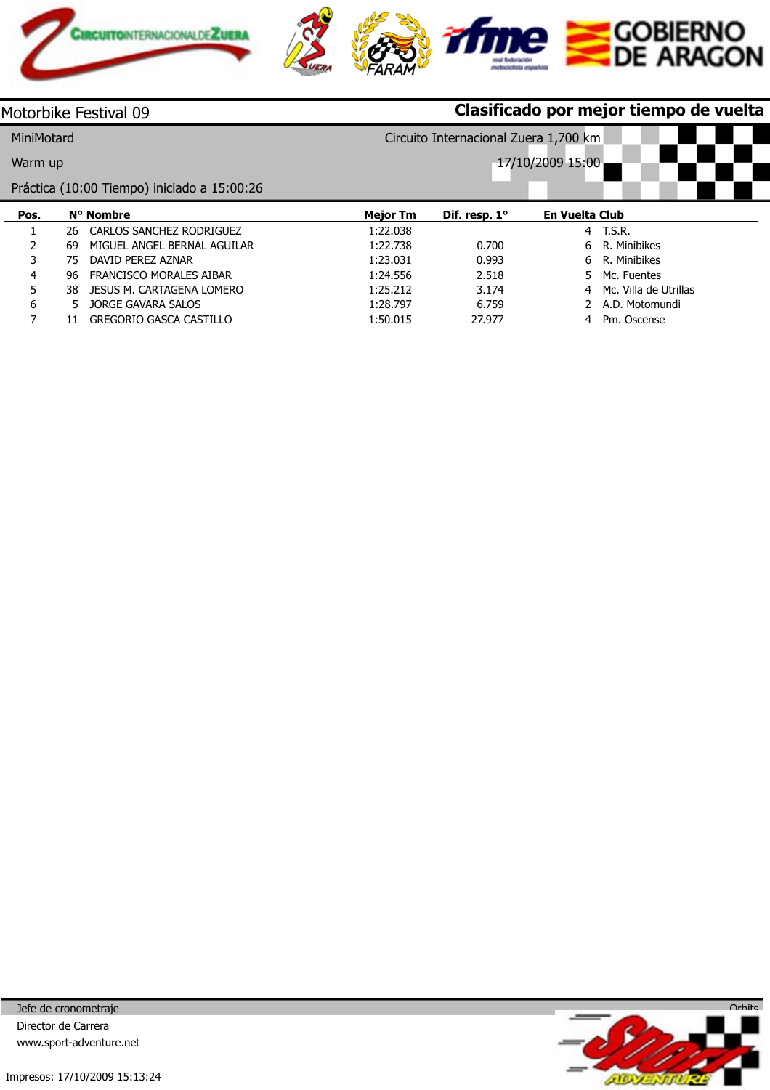

| Motorbike Festival 09                               |     |                                             | Clasificado por mejor tiempo de vuelta |               |                            |  |  |  |
|-----------------------------------------------------|-----|---------------------------------------------|----------------------------------------|---------------|----------------------------|--|--|--|
| MiniMotard<br>Circuito Internacional Zuera 1,700 km |     |                                             |                                        |               |                            |  |  |  |
| Warm up                                             |     |                                             |                                        |               | 17/10/2009 15:00           |  |  |  |
|                                                     |     | Práctica (10:00 Tiempo) iniciado a 15:00:26 |                                        |               |                            |  |  |  |
| Pos.                                                |     | N° Nombre                                   | <b>Mejor Tm</b>                        | Dif. resp. 1° | <b>En Vuelta Club</b>      |  |  |  |
|                                                     | 26  | CARLOS SANCHEZ RODRIGUEZ                    | 1:22.038                               |               | 4 T.S.R.                   |  |  |  |
| 2                                                   | 69  | MIGUEL ANGEL BERNAL AGUILAR                 | 1:22.738                               | 0.700         | R. Minibikes<br>6.         |  |  |  |
| 3                                                   | 75  | DAVID PEREZ AZNAR                           | 1:23.031                               | 0.993         | R. Minibikes<br>6.         |  |  |  |
| 4                                                   | 96  | <b>FRANCISCO MORALES AIBAR</b>              | 1:24.556                               | 2.518         | Mc. Fuentes<br>5.          |  |  |  |
| 5                                                   | 38. | JESUS M. CARTAGENA LOMERO                   | 1:25.212                               | 3.174         | Mc. Villa de Utrillas<br>4 |  |  |  |
| 6                                                   | 5.  | <b>JORGE GAVARA SALOS</b>                   | 1:28.797                               | 6.759         | A.D. Motomundi             |  |  |  |
|                                                     |     | <b>GREGORIO GASCA CASTILLO</b>              | 1:50.015                               | 27.977        | Pm. Oscense<br>4           |  |  |  |

Jefe de cronometraje Director de Carrera www.sport-adventure.net

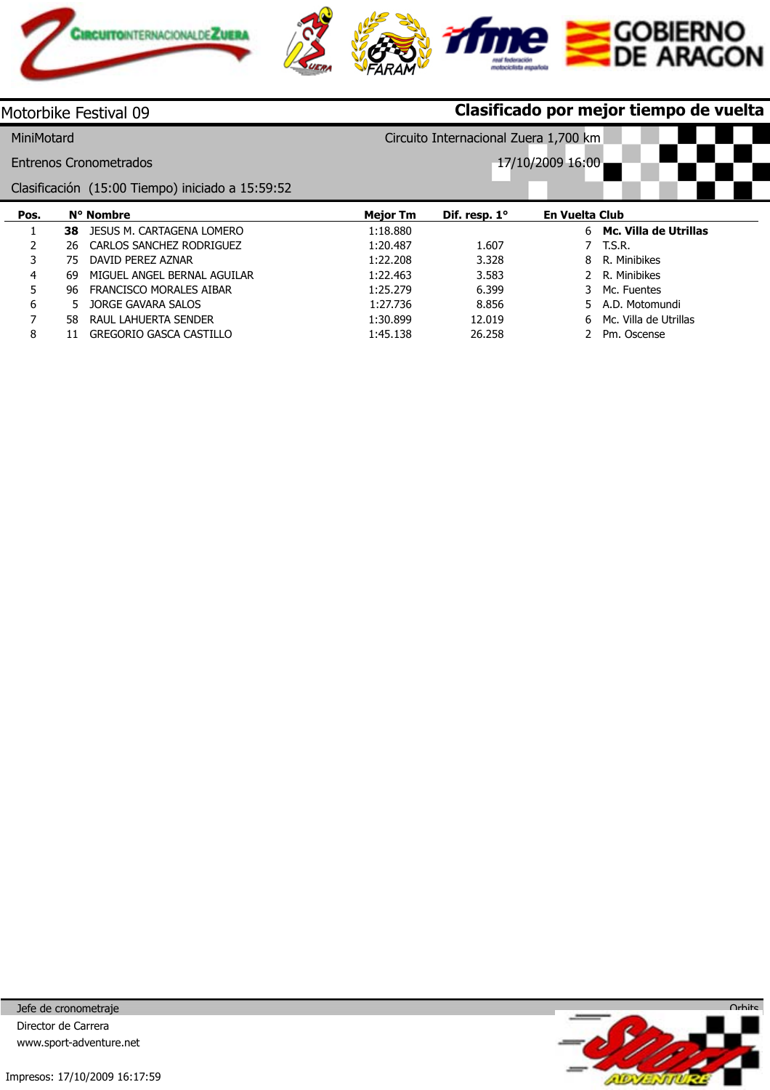

|            |     | Motorbike Festival 09                            | Clasificado por mejor tiempo de vuelta |                                       |                       |                         |  |  |
|------------|-----|--------------------------------------------------|----------------------------------------|---------------------------------------|-----------------------|-------------------------|--|--|
| MiniMotard |     |                                                  |                                        | Circuito Internacional Zuera 1,700 km |                       |                         |  |  |
|            |     | Entrenos Cronometrados                           |                                        |                                       | 17/10/2009 16:00      |                         |  |  |
|            |     | Clasificación (15:00 Tiempo) iniciado a 15:59:52 |                                        |                                       |                       |                         |  |  |
| Pos.       |     | N° Nombre                                        | <b>Mejor Tm</b>                        | Dif. resp. 1°                         | <b>En Vuelta Club</b> |                         |  |  |
|            | 38  | <b>JESUS M. CARTAGENA LOMERO</b>                 | 1:18.880                               |                                       |                       | 6 Mc. Villa de Utrillas |  |  |
|            | 26  | CARLOS SANCHEZ RODRIGUEZ                         | 1:20.487                               | 1.607                                 |                       | T.S.R.                  |  |  |
| 3          | 75  | DAVID PEREZ AZNAR                                | 1:22.208                               | 3.328                                 | 8                     | R. Minibikes            |  |  |
| 4          | 69  | MIGUEL ANGEL BERNAL AGUILAR                      | 1:22.463                               | 3.583                                 |                       | R. Minibikes            |  |  |
| 5          | 96  | FRANCISCO MORALES AIBAR                          | 1:25.279                               | 6.399                                 | 3                     | Mc. Fuentes             |  |  |
| 6          | 5.  | JORGE GAVARA SALOS                               | 1:27.736                               | 8.856                                 | 5.                    | A.D. Motomundi          |  |  |
| 7          | 58. | RAUL LAHUERTA SENDER                             | 1:30.899                               | 12.019                                | 6                     | Mc. Villa de Utrillas   |  |  |
| 8          |     | <b>GREGORIO GASCA CASTILLO</b>                   | 1:45.138                               | 26.258                                |                       | Pm. Oscense             |  |  |

Jefe de cronometraje Director de Carrera www.sport-adventure.net

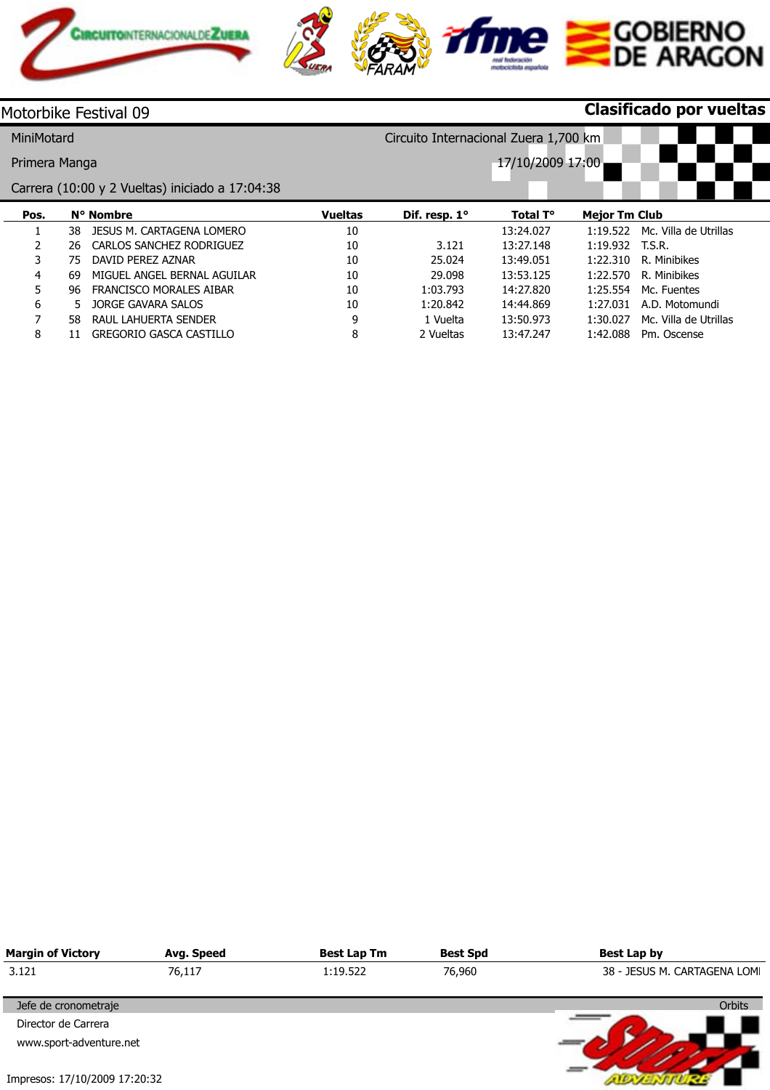

|               |     | Motorbike Festival 09                           |                |                                       |                  |                      | Clasificado por vueltas |  |
|---------------|-----|-------------------------------------------------|----------------|---------------------------------------|------------------|----------------------|-------------------------|--|
| MiniMotard    |     |                                                 |                | Circuito Internacional Zuera 1,700 km |                  |                      |                         |  |
| Primera Manga |     |                                                 |                |                                       | 17/10/2009 17:00 |                      |                         |  |
|               |     | Carrera (10:00 y 2 Vueltas) iniciado a 17:04:38 |                |                                       |                  |                      |                         |  |
| Pos.          |     | N° Nombre                                       | <b>Vueltas</b> | Dif. resp. $1^\circ$                  | Total T°         | <b>Mejor Tm Club</b> |                         |  |
|               | 38. | JESUS M. CARTAGENA LOMERO                       | 10             |                                       | 13:24.027        | 1:19.522             | Mc. Villa de Utrillas   |  |
| 2             | 26  | CARLOS SANCHEZ RODRIGUEZ                        | 10             | 3.121                                 | 13:27.148        | $1:19.932$ T.S.R.    |                         |  |
| 3             | 75  | DAVID PEREZ AZNAR                               | 10             | 25.024                                | 13:49.051        | 1:22.310             | R. Minibikes            |  |
| 4             | 69  | MIGUEL ANGEL BERNAL AGUILAR                     | 10             | 29.098                                | 13:53.125        | 1:22.570             | R. Minibikes            |  |
| 5             | 96  | <b>FRANCISCO MORALES AIBAR</b>                  | 10             | 1:03.793                              | 14:27.820        | 1:25.554             | Mc. Fuentes             |  |
| 6             | 5.  | JORGE GAVARA SALOS                              | 10             | 1:20.842                              | 14:44.869        | 1:27.031             | A.D. Motomundi          |  |
| 7             | 58. | RAUL LAHUERTA SENDER                            | 9              | 1 Vuelta                              | 13:50.973        | 1:30.027             | Mc. Villa de Utrillas   |  |
| 8             |     | <b>GREGORIO GASCA CASTILLO</b>                  | 8              | 2 Vueltas                             | 13:47.247        | 1:42.088             | Pm. Oscense             |  |

| <b>Margin of Victory</b>      | Avg. Speed | <b>Best Lap Tm</b> | <b>Best Spd</b> | Best Lap by                  |
|-------------------------------|------------|--------------------|-----------------|------------------------------|
| 3.121                         | 76,117     | 1:19.522           | 76,960          | 38 - JESUS M. CARTAGENA LOMI |
| Jefe de cronometraje          |            |                    |                 | <b>Orbits</b>                |
| Director de Carrera           |            |                    |                 |                              |
| www.sport-adventure.net       |            |                    |                 |                              |
|                               |            |                    |                 |                              |
| Impresos: 17/10/2009 17:20:32 |            |                    |                 |                              |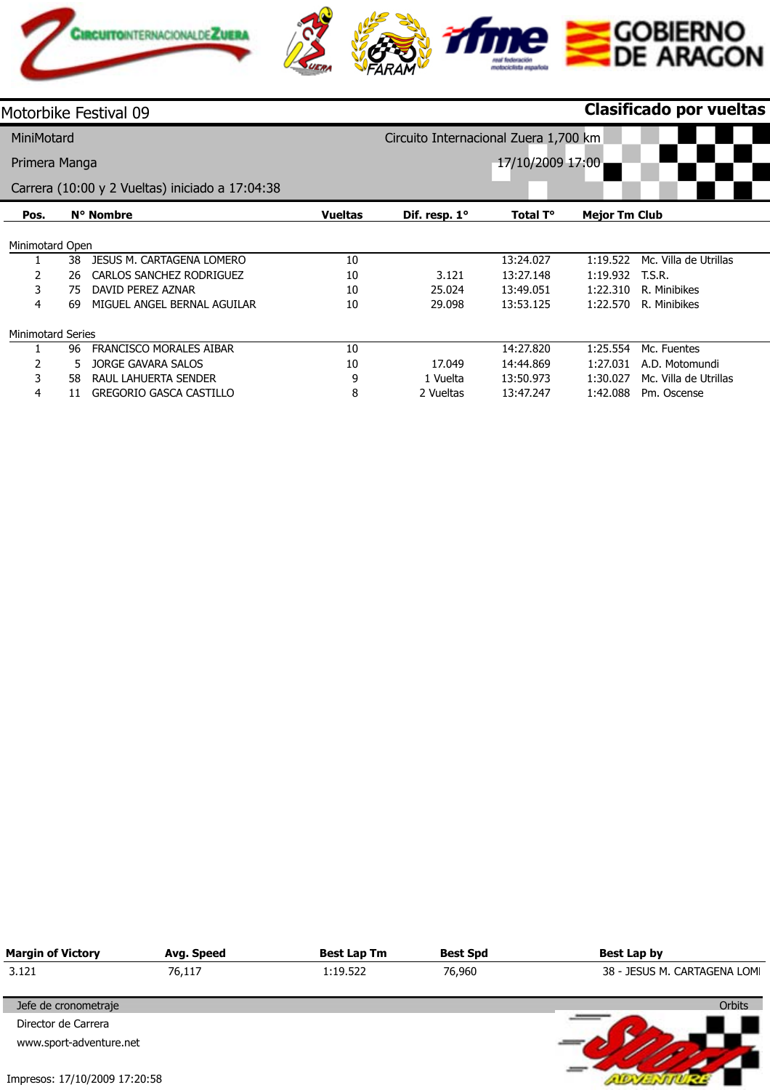

| Motorbike Festival 09    |    |                                                 |                |                                       |                  |                      | <b>Clasificado por vueltas</b> |  |
|--------------------------|----|-------------------------------------------------|----------------|---------------------------------------|------------------|----------------------|--------------------------------|--|
| MiniMotard               |    |                                                 |                | Circuito Internacional Zuera 1,700 km |                  |                      |                                |  |
| Primera Manga            |    |                                                 |                |                                       | 17/10/2009 17:00 |                      |                                |  |
|                          |    | Carrera (10:00 y 2 Vueltas) iniciado a 17:04:38 |                |                                       |                  |                      |                                |  |
| Pos.                     |    | N° Nombre                                       | <b>Vueltas</b> | Dif. resp. $1^\circ$                  | Total T°         | <b>Mejor Tm Club</b> |                                |  |
| Minimotard Open          |    |                                                 |                |                                       |                  |                      |                                |  |
|                          | 38 | <b>JESUS M. CARTAGENA LOMERO</b>                | 10             |                                       | 13:24.027        | 1:19.522             | Mc. Villa de Utrillas          |  |
| 2                        | 26 | CARLOS SANCHEZ RODRIGUEZ                        | 10             | 3.121                                 | 13:27.148        | 1:19.932             | T.S.R.                         |  |
| 3                        | 75 | DAVID PEREZ AZNAR                               | 10             | 25.024                                | 13:49.051        | 1:22.310             | R. Minibikes                   |  |
| 4                        | 69 | MIGUEL ANGEL BERNAL AGUILAR                     | 10             | 29.098                                | 13:53.125        | 1:22.570             | R. Minibikes                   |  |
| <b>Minimotard Series</b> |    |                                                 |                |                                       |                  |                      |                                |  |
|                          | 96 | <b>FRANCISCO MORALES AIBAR</b>                  | 10             |                                       | 14:27.820        | 1:25.554             | Mc. Fuentes                    |  |
| 2                        | 5. | <b>JORGE GAVARA SALOS</b>                       | 10             | 17.049                                | 14:44.869        | 1:27.031             | A.D. Motomundi                 |  |
| 3                        | 58 | RAUL LAHUERTA SENDER                            | 9              | 1 Vuelta                              | 13:50.973        | 1:30.027             | Mc. Villa de Utrillas          |  |
| 4                        | 11 | <b>GREGORIO GASCA CASTILLO</b>                  | 8              | 2 Vueltas                             | 13:47.247        | 1:42.088             | Pm. Oscense                    |  |

| <b>Margin of Victory</b>      | Avg. Speed | <b>Best Lap Tm</b> | <b>Best Spd</b> | <b>Best Lap by</b>           |
|-------------------------------|------------|--------------------|-----------------|------------------------------|
| 3.121                         | 76,117     | 1:19.522           | 76,960          | 38 - JESUS M. CARTAGENA LOMI |
| Jefe de cronometraje          |            |                    |                 | <b>Orbits</b>                |
| Director de Carrera           |            |                    |                 |                              |
| www.sport-adventure.net       |            |                    |                 |                              |
| Impresos: 17/10/2009 17:20:58 |            |                    |                 |                              |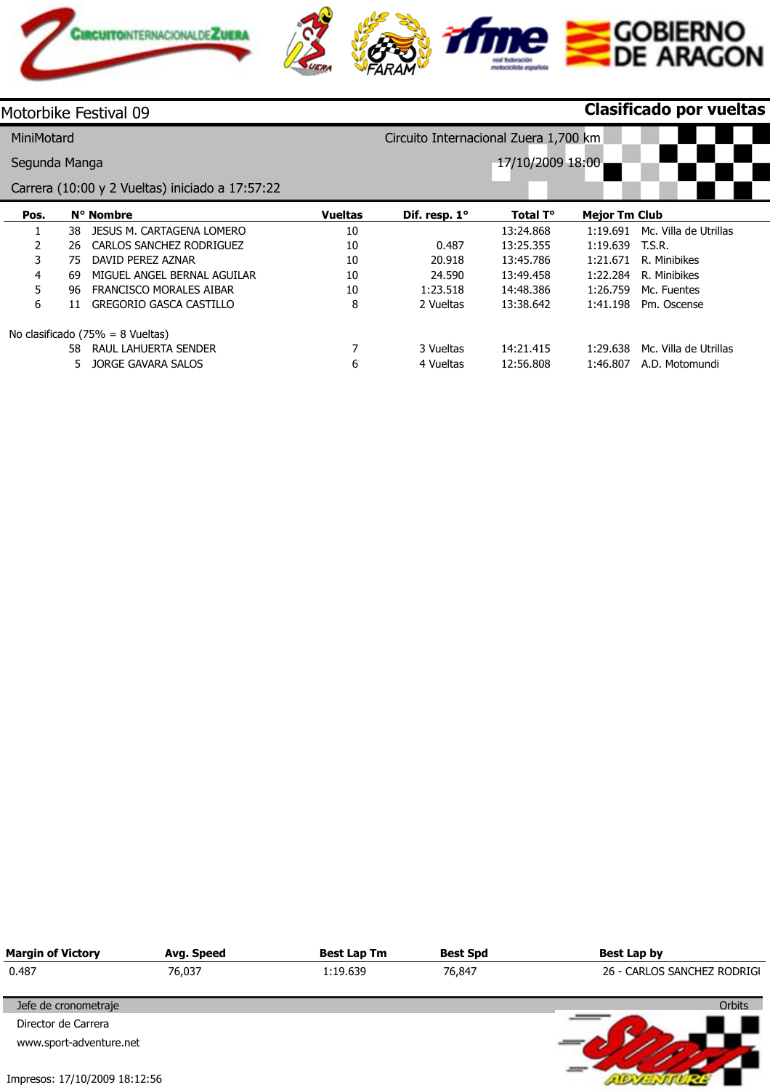

|                | Motorbike Festival 09                           |                |                                       |                  |                      | Clasificado por vueltas |  |
|----------------|-------------------------------------------------|----------------|---------------------------------------|------------------|----------------------|-------------------------|--|
| MiniMotard     |                                                 |                | Circuito Internacional Zuera 1,700 km |                  |                      |                         |  |
| Segunda Manga  |                                                 |                |                                       | 17/10/2009 18:00 |                      |                         |  |
|                | Carrera (10:00 y 2 Vueltas) iniciado a 17:57:22 |                |                                       |                  |                      |                         |  |
| Pos.           | N° Nombre                                       | <b>Vueltas</b> | Dif. resp. 1°                         | Total T°         | <b>Mejor Tm Club</b> |                         |  |
|                | JESUS M. CARTAGENA LOMERO<br>38                 | 10             |                                       | 13:24.868        | 1:19.691             | Mc. Villa de Utrillas   |  |
| $\overline{2}$ | CARLOS SANCHEZ RODRIGUEZ<br>26                  | 10             | 0.487                                 | 13:25.355        | 1:19.639             | T.S.R.                  |  |
| 3              | DAVID PEREZ AZNAR<br>75                         | 10             | 20.918                                | 13:45.786        | 1:21.671             | R. Minibikes            |  |
| 4              | MIGUEL ANGEL BERNAL AGUILAR<br>69               | 10             | 24.590                                | 13:49.458        | 1:22.284             | R. Minibikes            |  |
| 5              | FRANCISCO MORALES AIBAR<br>96                   | 10             | 1:23.518                              | 14:48.386        | 1:26.759             | Mc. Fuentes             |  |
| 6              | <b>GREGORIO GASCA CASTILLO</b><br>11            | 8              | 2 Vueltas                             | 13:38.642        | 1:41.198             | Pm. Oscense             |  |
|                | No clasificado $(75\% = 8$ Vueltas)             |                |                                       |                  |                      |                         |  |
|                | RAUL LAHUERTA SENDER<br>58.                     |                | 3 Vueltas                             | 14:21.415        | 1:29.638             | Mc. Villa de Utrillas   |  |
|                | JORGE GAVARA SALOS<br>5.                        | 6              | 4 Vueltas                             | 12:56.808        | 1:46.807             | A.D. Motomundi          |  |

| <b>Margin of Victory</b>      | Avg. Speed | <b>Best Lap Tm</b> | <b>Best Spd</b> | <b>Best Lap by</b>          |
|-------------------------------|------------|--------------------|-----------------|-----------------------------|
| 0.487                         | 76,037     | 1:19.639           | 76,847          | 26 - CARLOS SANCHEZ RODRIGI |
| Jefe de cronometraje          |            |                    |                 | <b>Orbits</b>               |
| Director de Carrera           |            |                    |                 |                             |
| www.sport-adventure.net       |            |                    |                 |                             |
|                               |            |                    |                 |                             |
| Impresos: 17/10/2009 18:12:56 |            |                    |                 |                             |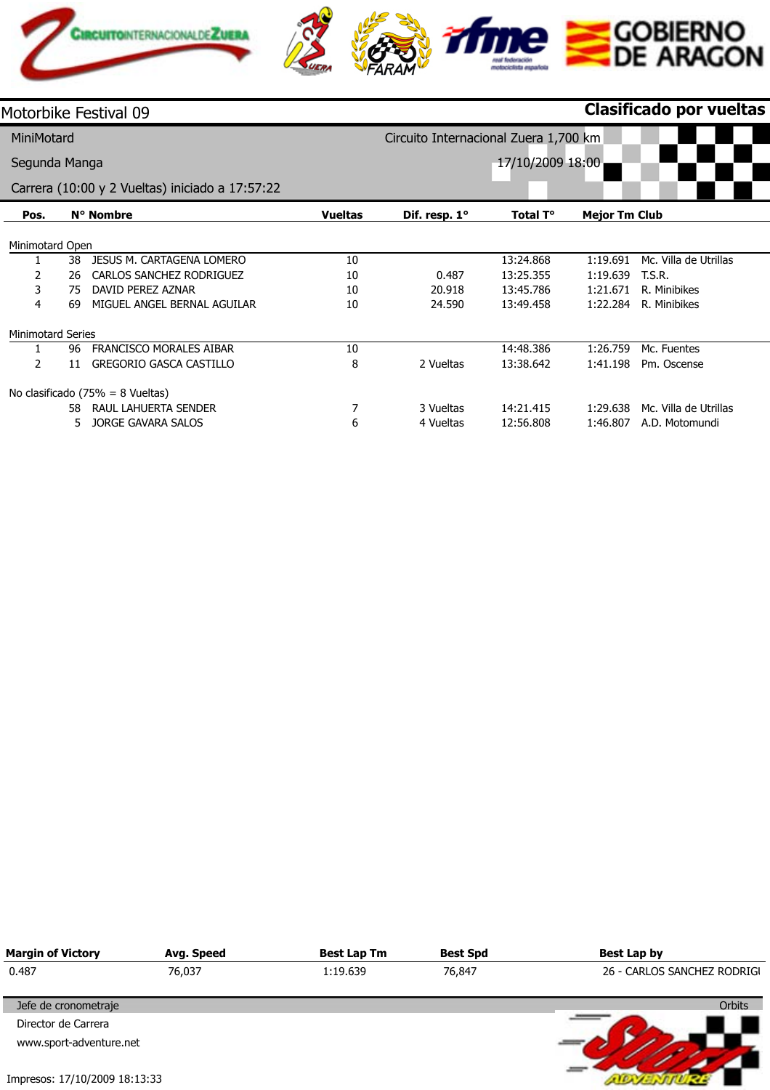

|                          |    | Motorbike Festival 09                           |                |                                       |                  |                      | <b>Clasificado por vueltas</b> |  |
|--------------------------|----|-------------------------------------------------|----------------|---------------------------------------|------------------|----------------------|--------------------------------|--|
| MiniMotard               |    |                                                 |                | Circuito Internacional Zuera 1,700 km |                  |                      |                                |  |
| Segunda Manga            |    |                                                 |                |                                       | 17/10/2009 18:00 |                      |                                |  |
|                          |    | Carrera (10:00 y 2 Vueltas) iniciado a 17:57:22 |                |                                       |                  |                      |                                |  |
| Pos.                     |    | N° Nombre                                       | <b>Vueltas</b> | Dif. resp. 1°                         | Total T°         | <b>Mejor Tm Club</b> |                                |  |
| Minimotard Open          |    |                                                 |                |                                       |                  |                      |                                |  |
|                          | 38 | JESUS M. CARTAGENA LOMERO                       | 10             |                                       | 13:24.868        | 1:19.691             | Mc. Villa de Utrillas          |  |
| 2                        | 26 | CARLOS SANCHEZ RODRIGUEZ                        | 10             | 0.487                                 | 13:25.355        | 1:19.639             | T.S.R.                         |  |
| 3                        | 75 | DAVID PEREZ AZNAR                               | 10             | 20.918                                | 13:45.786        | 1:21.671             | R. Minibikes                   |  |
| 4                        | 69 | MIGUEL ANGEL BERNAL AGUILAR                     | 10             | 24.590                                | 13:49.458        | 1:22.284             | R. Minibikes                   |  |
| <b>Minimotard Series</b> |    |                                                 |                |                                       |                  |                      |                                |  |
|                          | 96 | <b>FRANCISCO MORALES AIBAR</b>                  | 10             |                                       | 14:48.386        | 1:26.759             | Mc. Fuentes                    |  |
| 2                        | 11 | <b>GREGORIO GASCA CASTILLO</b>                  | 8              | 2 Vueltas                             | 13:38.642        | 1:41.198             | Pm. Oscense                    |  |
|                          |    | No clasificado $(75\% = 8$ Vueltas)             |                |                                       |                  |                      |                                |  |
|                          | 58 | RAUL LAHUERTA SENDER                            | 7              | 3 Vueltas                             | 14:21.415        | 1:29.638             | Mc. Villa de Utrillas          |  |
|                          | 5. | <b>JORGE GAVARA SALOS</b>                       | 6              | 4 Vueltas                             | 12:56.808        | 1:46.807             | A.D. Motomundi                 |  |

| <b>Margin of Victory</b>      | Avg. Speed | <b>Best Lap Tm</b> | <b>Best Spd</b> | <b>Best Lap by</b>          |
|-------------------------------|------------|--------------------|-----------------|-----------------------------|
| 0.487                         | 76,037     | 1:19.639           | 76,847          | 26 - CARLOS SANCHEZ RODRIGI |
| Jefe de cronometraje          |            |                    |                 | <b>Orbits</b>               |
| Director de Carrera           |            |                    |                 |                             |
| www.sport-adventure.net       |            |                    |                 |                             |
| Impresos: 17/10/2009 18:13:33 |            |                    |                 |                             |